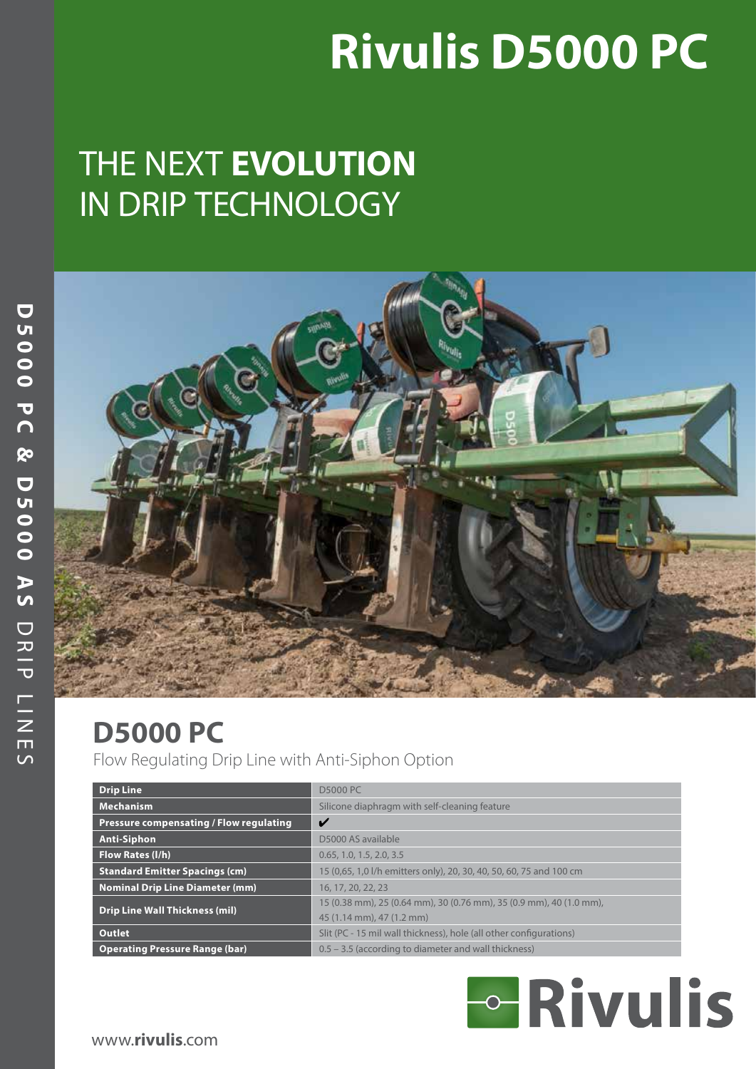# **Rivulis D5000 PC**

# THE NEXT **EVOLUTION** IN DRIP TECHNOLOGY



# **D5000 PC**

Flow Regulating Drip Line with Anti-Siphon Option

| <b>Drip Line</b>                        | <b>D5000 PC</b>                                                     |
|-----------------------------------------|---------------------------------------------------------------------|
| <b>Mechanism</b>                        | Silicone diaphragm with self-cleaning feature                       |
| Pressure compensating / Flow regulating | V                                                                   |
| <b>Anti-Siphon</b>                      | D5000 AS available                                                  |
| Flow Rates (I/h)                        | 0.65, 1.0, 1.5, 2.0, 3.5                                            |
| <b>Standard Emitter Spacings (cm)</b>   | 15 (0,65, 1,0 l/h emitters only), 20, 30, 40, 50, 60, 75 and 100 cm |
| <b>Nominal Drip Line Diameter (mm)</b>  | 16, 17, 20, 22, 23                                                  |
| <b>Drip Line Wall Thickness (mil)</b>   | 15 (0.38 mm), 25 (0.64 mm), 30 (0.76 mm), 35 (0.9 mm), 40 (1.0 mm), |
|                                         | 45 (1.14 mm), 47 (1.2 mm)                                           |
| Outlet                                  | Slit (PC - 15 mil wall thickness), hole (all other configurations)  |
| <b>Operating Pressure Range (bar)</b>   | 0.5 – 3.5 (according to diameter and wall thickness)                |

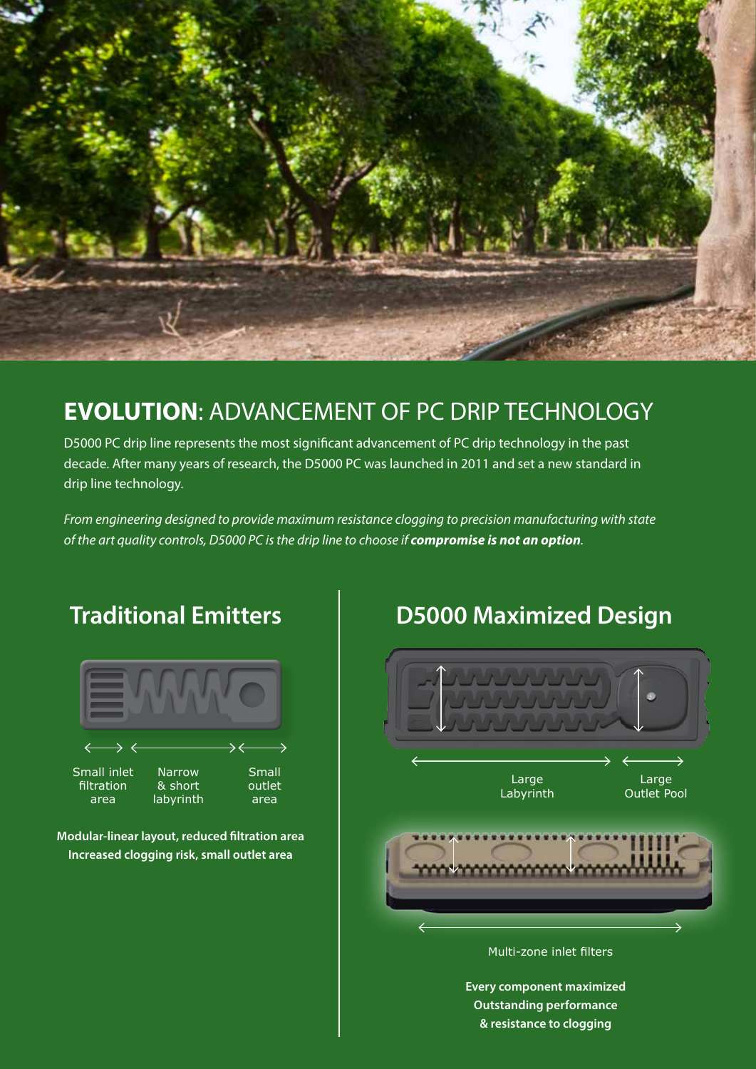

# **EVOLUTION**: ADVANCEMENT OF PC DRIP TECHNOLOGY

D5000 PC drip line represents the most significant advancement of PC drip technology in the past decade. After many years of research, the D5000 PC was launched in 2011 and set a new standard in drip line technology.

*From engineering designed to provide maximum resistance clogging to precision manufacturing with state of the art quality controls, D5000 PC is the drip line to choose if compromise is not an option.*



**Modular-linear layout, reduced filtration area Increased clogging risk, small outlet area**

# **Traditional Emitters D5000 Maximized Design**



**Every component maximized Outstanding performance & resistance to clogging**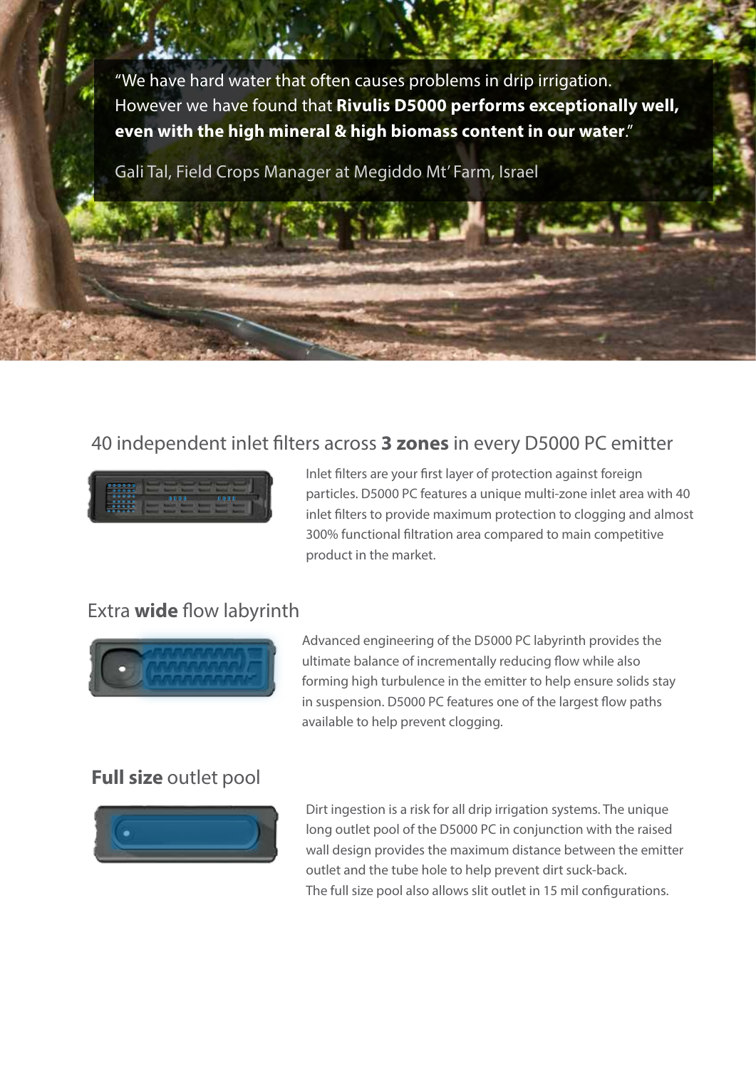"We have hard water that often causes problems in drip irrigation. However we have found that **Rivulis D5000 performs exceptionally well, even with the high mineral & high biomass content in our water**."

Gali Tal, Field Crops Manager at Megiddo Mt' Farm, Israel

### 40 independent inlet filters across **3 zones** in every D5000 PC emitter



Inlet filters are your first layer of protection against foreign particles. D5000 PC features a unique multi-zone inlet area with 40 inlet filters to provide maximum protection to clogging and almost 300% functional filtration area compared to main competitive product in the market.

### Extra **wide** flow labyrinth



Advanced engineering of the D5000 PC labyrinth provides the ultimate balance of incrementally reducing flow while also forming high turbulence in the emitter to help ensure solids stay in suspension. D5000 PC features one of the largest flow paths available to help prevent clogging.

### **Full size** outlet pool



Dirt ingestion is a risk for all drip irrigation systems. The unique long outlet pool of the D5000 PC in conjunction with the raised wall design provides the maximum distance between the emitter outlet and the tube hole to help prevent dirt suck-back. The full size pool also allows slit outlet in 15 mil configurations.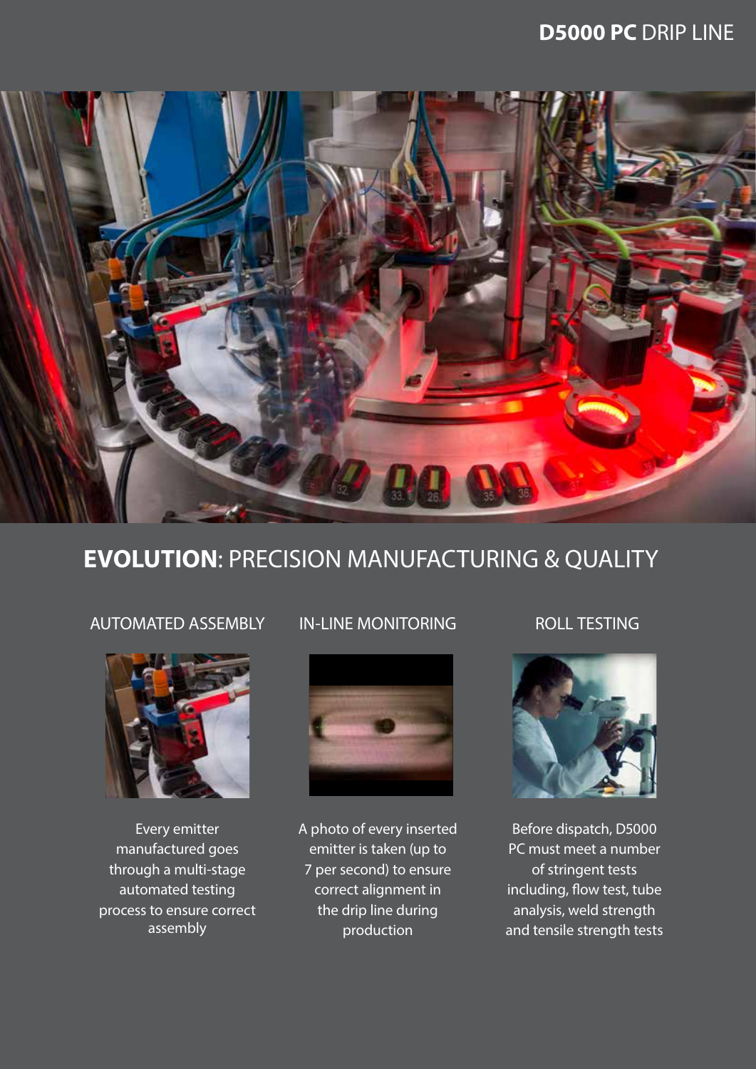### **D5000 PC** DRIP LINE



### **EVOLUTION**: PRECISION MANUFACTURING & QUALITY

### AUTOMATED ASSEMBLY IN-LINE MONITORING ROLL TESTING



Every emitter manufactured goes through a multi-stage automated testing process to ensure correct assembly



A photo of every inserted emitter is taken (up to 7 per second) to ensure correct alignment in the drip line during production



Before dispatch, D5000 PC must meet a number of stringent tests including, flow test, tube analysis, weld strength and tensile strength tests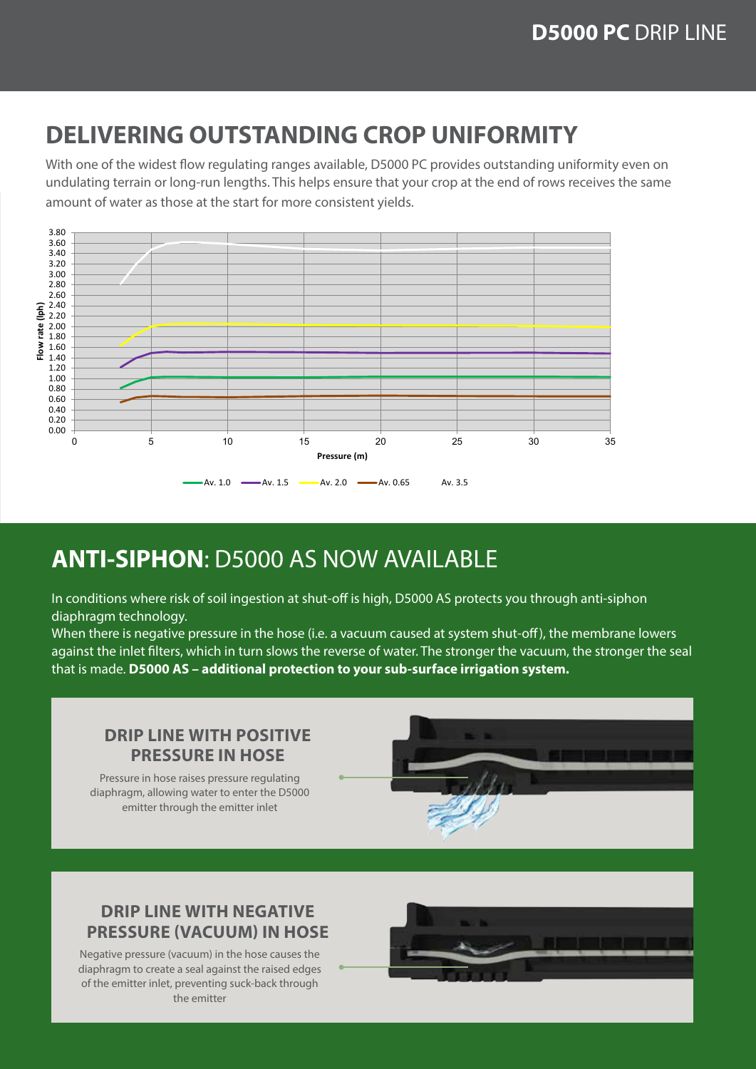## **DELIVERING OUTSTANDING CROP UNIFORMITY**

amount of water as those at the start for more consistent yields.<br>-With one of the widest flow regulating ranges available, D5000 PC provides outstanding uniformity even on undulating terrain or long-run lengths. This helps ensure that your crop at the end of rows receives the same



# **ANTI-SIPHON**: D5000 AS NOW AVAILABLE

In conditions where risk of soil ingestion at shut-off is high, D5000 AS protects you through anti-siphon diaphragm technology.

When there is negative pressure in the hose (i.e. a vacuum caused at system shut-off), the membrane lowers against the inlet filters, which in turn slows the reverse of water. The stronger the vacuum, the stronger the seal that is made. **D5000 AS – additional protection to your sub-surface irrigation system.**

### **DRIP LINE WITH POSITIVE PRESSURE IN HOSE**

Pressure in hose raises pressure regulating diaphragm, allowing water to enter the D5000 emitter through the emitter inlet



### **DRIP LINE WITH NEGATIVE PRESSURE (VACUUM) IN HOSE**

Negative pressure (vacuum) in the hose causes the diaphragm to create a seal against the raised edges of the emitter inlet, preventing suck-back through the emitter

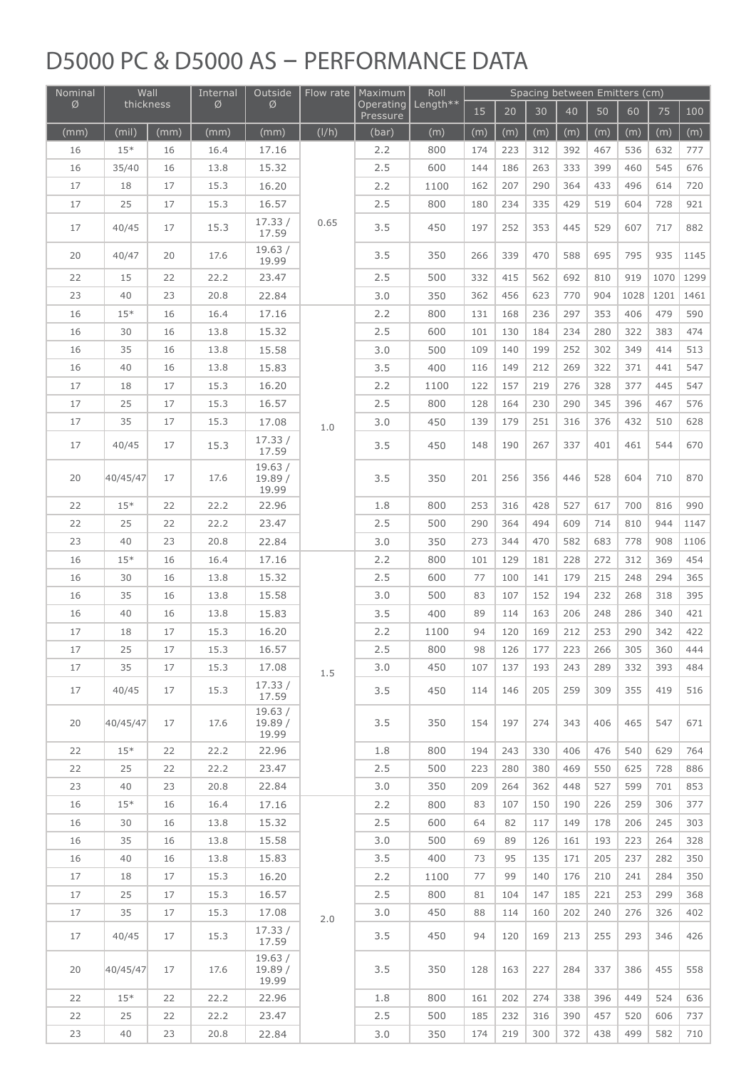# D5000 PC & D5000 AS - PERFORMANCE DATA

| Nominal | Wall      |      | Internal      | Outside                    | Flow rate | Maximum               | Roll     | Spacing between Emitters (cm) |     |     |     |     |      |      |      |
|---------|-----------|------|---------------|----------------------------|-----------|-----------------------|----------|-------------------------------|-----|-----|-----|-----|------|------|------|
| Ø       | thickness |      | $\varnothing$ | Ø                          |           | Operating<br>Pressure | Length** | 15                            | 20  | 30  | 40  | 50  | 60   | 75   | 100  |
| (mm)    | (mil)     | (mm) | (mm)          | (mm)                       | (I/h)     | (bar)                 | (m)      | (m)                           | (m) | (m) | (m) | (m) | (m)  | (m)  | (m)  |
| 16      | $15*$     | 16   | 16.4          | 17.16                      |           | 2.2                   | 800      | 174                           | 223 | 312 | 392 | 467 | 536  | 632  | 777  |
| 16      | 35/40     | 16   | 13.8          | 15.32                      |           | 2.5                   | 600      | 144                           | 186 | 263 | 333 | 399 | 460  | 545  | 676  |
| $17\,$  | 18        | 17   | 15.3          | 16.20                      |           | 2.2                   | 1100     | 162                           | 207 | 290 | 364 | 433 | 496  | 614  | 720  |
| 17      | 25        | 17   | 15.3          | 16.57                      |           | 2.5                   | 800      | 180                           | 234 | 335 | 429 | 519 | 604  | 728  | 921  |
| 17      | 40/45     | 17   | 15.3          | 17.33/<br>17.59            | 0.65      | 3.5                   | 450      | 197                           | 252 | 353 | 445 | 529 | 607  | 717  | 882  |
| 20      | 40/47     | 20   | 17.6          | 19.63/<br>19.99            |           | 3.5                   | 350      | 266                           | 339 | 470 | 588 | 695 | 795  | 935  | 1145 |
| 22      | 15        | 22   | 22.2          | 23.47                      |           | 2.5                   | 500      | 332                           | 415 | 562 | 692 | 810 | 919  | 1070 | 1299 |
| 23      | 40        | 23   | 20.8          | 22.84                      |           | 3.0                   | 350      | 362                           | 456 | 623 | 770 | 904 | 1028 | 1201 | 1461 |
| 16      | $15*$     | 16   | 16.4          | 17.16                      |           | 2.2                   | 800      | 131                           | 168 | 236 | 297 | 353 | 406  | 479  | 590  |
| 16      | 30        | 16   | 13.8          | 15.32                      |           | 2.5                   | 600      | 101                           | 130 | 184 | 234 | 280 | 322  | 383  | 474  |
| 16      | 35        | 16   | 13.8          | 15.58                      |           | 3.0                   | 500      | 109                           | 140 | 199 | 252 | 302 | 349  | 414  | 513  |
| 16      | 40        | 16   | 13.8          | 15.83                      |           | 3.5                   | 400      | 116                           | 149 | 212 | 269 | 322 | 371  | 441  | 547  |
| 17      | 18        | 17   | 15.3          | 16.20                      |           | 2.2                   | 1100     | 122                           | 157 | 219 | 276 | 328 | 377  | 445  | 547  |
| 17      | 25        | 17   | 15.3          | 16.57                      |           | 2.5                   | 800      | 128                           | 164 | 230 | 290 | 345 | 396  | 467  | 576  |
| 17      | 35        | 17   | 15.3          | 17.08                      | 1.0       | 3.0                   | 450      | 139                           | 179 | 251 | 316 | 376 | 432  | 510  | 628  |
| 17      | 40/45     | 17   | 15.3          | 17.33/<br>17.59            |           | 3.5                   | 450      | 148                           | 190 | 267 | 337 | 401 | 461  | 544  | 670  |
| 20      | 40/45/47  | 17   | 17.6          | 19.63/<br>19.89/<br>19.99  |           | 3.5                   | 350      | 201                           | 256 | 356 | 446 | 528 | 604  | 710  | 870  |
| 22      | $15*$     | 22   | 22.2          | 22.96                      |           | 1.8                   | 800      | 253                           | 316 | 428 | 527 | 617 | 700  | 816  | 990  |
| 22      | 25        | 22   | 22.2          | 23.47                      |           | 2.5                   | 500      | 290                           | 364 | 494 | 609 | 714 | 810  | 944  | 1147 |
| 23      | 40        | 23   | 20.8          | 22.84                      |           | 3.0                   | 350      | 273                           | 344 | 470 | 582 | 683 | 778  | 908  | 1106 |
| 16      | $15*$     | 16   | 16.4          | 17.16                      |           | 2.2                   | 800      | 101                           | 129 | 181 | 228 | 272 | 312  | 369  | 454  |
| 16      | 30        | 16   | 13.8          | 15.32                      |           | 2.5                   | 600      | 77                            | 100 | 141 | 179 | 215 | 248  | 294  | 365  |
| 16      | 35        | 16   | 13.8          | 15.58                      | 1.5       | 3.0                   | 500      | 83                            | 107 | 152 | 194 | 232 | 268  | 318  | 395  |
| 16      | 40        | 16   | 13.8          | 15.83                      |           | 3.5                   | 400      | 89                            | 114 | 163 | 206 | 248 | 286  | 340  | 421  |
| 17      | 18        | 17   | 15.3          | 16.20                      |           | 2.2                   | 1100     | 94                            | 120 | 169 | 212 | 253 | 290  | 342  | 422  |
| 17      | 25        | 17   | 15.3          | 16.57                      |           | 2.5                   | 800      | 98                            | 126 | 177 | 223 | 266 | 305  | 360  | 444  |
| 17      | 35        | 17   | 15.3          | 17.08                      |           | 3.0                   | 450      | 107                           | 137 | 193 | 243 | 289 | 332  | 393  | 484  |
| 17      | 40/45     | 17   | 15.3          | 17.33/<br>17.59            |           | 3.5                   | 450      | 114                           | 146 | 205 | 259 | 309 | 355  | 419  | 516  |
| 20      | 40/45/47  | 17   | 17.6          | 19.63/<br>19.89 /<br>19.99 |           | 3.5                   | 350      | 154                           | 197 | 274 | 343 | 406 | 465  | 547  | 671  |
| 22      | $15*$     | 22   | 22.2          | 22.96                      |           | 1.8                   | 800      | 194                           | 243 | 330 | 406 | 476 | 540  | 629  | 764  |
| 22      | 25        | 22   | 22.2          | 23.47                      |           | 2.5                   | 500      | 223                           | 280 | 380 | 469 | 550 | 625  | 728  | 886  |
| 23      | 40        | 23   | 20.8          | 22.84                      |           | 3.0                   | 350      | 209                           | 264 | 362 | 448 | 527 | 599  | 701  | 853  |
| 16      | $15*$     | 16   | 16.4          | 17.16                      | 2.0       | 2.2                   | 800      | 83                            | 107 | 150 | 190 | 226 | 259  | 306  | 377  |
| 16      | 30        | 16   | 13.8          | 15.32                      |           | 2.5                   | 600      | 64                            | 82  | 117 | 149 | 178 | 206  | 245  | 303  |
| 16      | 35        | 16   | 13.8          | 15.58                      |           | 3.0                   | 500      | 69                            | 89  | 126 | 161 | 193 | 223  | 264  | 328  |
| 16      | 40        | 16   | 13.8          | 15.83                      |           | 3.5                   | 400      | 73                            | 95  | 135 | 171 | 205 | 237  | 282  | 350  |
| 17      | 18        | 17   | 15.3          | 16.20                      |           | 2.2                   | 1100     | 77                            | 99  | 140 | 176 | 210 | 241  | 284  | 350  |
| 17      | 25        | 17   | 15.3          | 16.57                      |           | 2.5                   | 800      | 81                            | 104 | 147 | 185 | 221 | 253  | 299  | 368  |
| 17      | 35        | 17   | 15.3          | 17.08                      |           | 3.0                   | 450      | 88                            | 114 | 160 | 202 | 240 | 276  | 326  | 402  |
| 17      | 40/45     | 17   | 15.3          | 17.33/<br>17.59            |           | 3.5                   | 450      | 94                            | 120 | 169 | 213 | 255 | 293  | 346  | 426  |
| 20      | 40/45/47  | 17   | 17.6          | 19.63/<br>19.89/<br>19.99  |           | 3.5                   | 350      | 128                           | 163 | 227 | 284 | 337 | 386  | 455  | 558  |
| 22      | $15*$     | 22   | 22.2          | 22.96                      |           | 1.8                   | 800      | 161                           | 202 | 274 | 338 | 396 | 449  | 524  | 636  |
| 22      | 25        | 22   | 22.2          | 23.47                      |           | 2.5                   | 500      | 185                           | 232 | 316 | 390 | 457 | 520  | 606  | 737  |
| 23      | 40        | 23   | 20.8          | 22.84                      |           | 3.0                   | 350      | 174                           | 219 | 300 | 372 | 438 | 499  | 582  | 710  |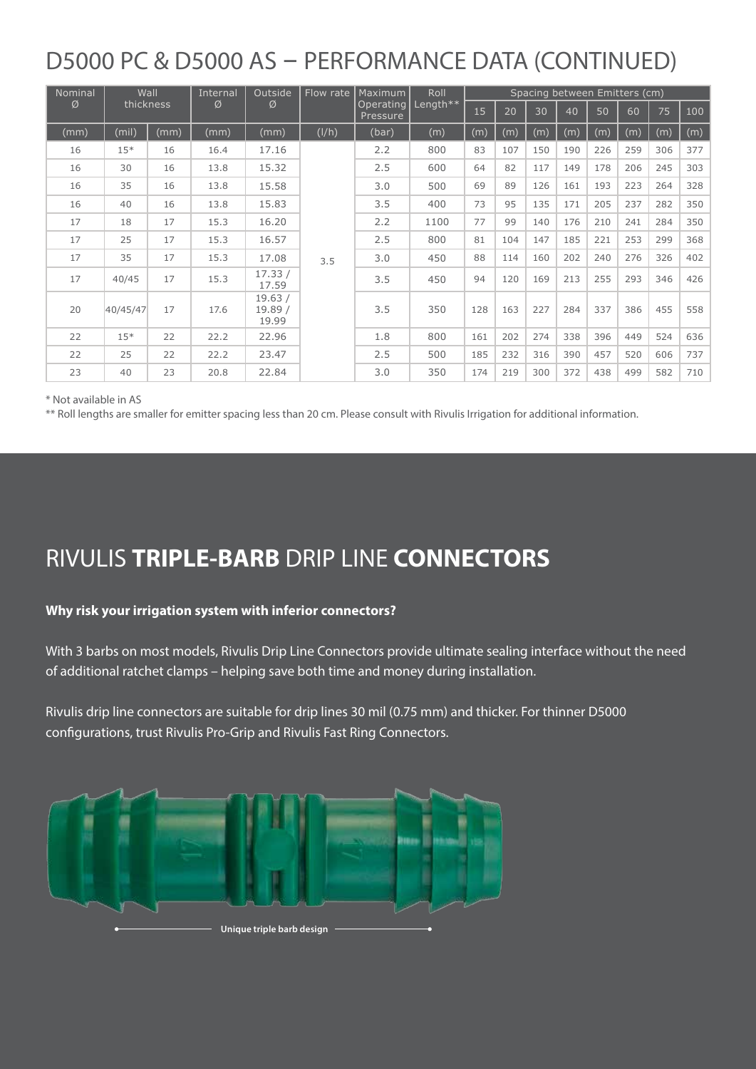# D5000 PC & D5000 AS - PERFORMANCE DATA (CONTINUED)

| Nominal        | Wall     |      | Internal<br>Ø | Outside<br>Ø              | Flow rate | <b>Maximum</b><br>Operating<br>Pressure | Roll<br>Length** | Spacing between Emitters (cm) |     |     |     |     |     |     |     |
|----------------|----------|------|---------------|---------------------------|-----------|-----------------------------------------|------------------|-------------------------------|-----|-----|-----|-----|-----|-----|-----|
| Ø<br>thickness |          | 15   |               |                           |           |                                         |                  | 20                            | 30  | 40  | 50  | 60  | 75  | 100 |     |
| (mm)           | (mil)    | (mm) | (mm)          | (mm)                      | (I/h)     | (bar)                                   | (m)              | (m)                           | (m) | (m) | (m) | (m) | (m) | (m) | (m) |
| 16             | $15*$    | 16   | 16.4          | 17.16                     |           | 2.2                                     | 800              | 83                            | 107 | 150 | 190 | 226 | 259 | 306 | 377 |
| 16             | 30       | 16   | 13.8          | 15.32                     |           | 2.5                                     | 600              | 64                            | 82  | 117 | 149 | 178 | 206 | 245 | 303 |
| 16             | 35       | 16   | 13.8          | 15.58                     |           | 3.0                                     | 500              | 69                            | 89  | 126 | 161 | 193 | 223 | 264 | 328 |
| 16             | 40       | 16   | 13.8          | 15.83                     | 3.5       | 3.5                                     | 400              | 73                            | 95  | 135 | 171 | 205 | 237 | 282 | 350 |
| 17             | 18       | 17   | 15.3          | 16.20                     |           | 2.2                                     | 1100             | 77                            | 99  | 140 | 176 | 210 | 241 | 284 | 350 |
| 17             | 25       | 17   | 15.3          | 16.57                     |           | 2.5                                     | 800              | 81                            | 104 | 147 | 185 | 221 | 253 | 299 | 368 |
| 17             | 35       | 17   | 15.3          | 17.08                     |           | 3.0                                     | 450              | 88                            | 114 | 160 | 202 | 240 | 276 | 326 | 402 |
| 17             | 40/45    | 17   | 15.3          | 17.33/<br>17.59           |           | 3.5                                     | 450              | 94                            | 120 | 169 | 213 | 255 | 293 | 346 | 426 |
| 20             | 40/45/47 | 17   | 17.6          | 19.63/<br>19.89/<br>19.99 |           | 3.5                                     | 350              | 128                           | 163 | 227 | 284 | 337 | 386 | 455 | 558 |
| 22             | $15*$    | 22   | 22.2          | 22.96                     |           | 1.8                                     | 800              | 161                           | 202 | 274 | 338 | 396 | 449 | 524 | 636 |
| 22             | 25       | 22   | 22.2          | 23.47                     |           | 2.5                                     | 500              | 185                           | 232 | 316 | 390 | 457 | 520 | 606 | 737 |
| 23             | 40       | 23   | 20.8          | 22.84                     |           | 3.0                                     | 350              | 174                           | 219 | 300 | 372 | 438 | 499 | 582 | 710 |

\* Not available in AS

\*\* Roll lengths are smaller for emitter spacing less than 20 cm. Please consult with Rivulis Irrigation for additional information.

# RIVULIS **TRIPLE-BARB** DRIP LINE **CONNECTORS**

### **Why risk your irrigation system with inferior connectors?**

With 3 barbs on most models, Rivulis Drip Line Connectors provide ultimate sealing interface without the need of additional ratchet clamps – helping save both time and money during installation.

Rivulis drip line connectors are suitable for drip lines 30 mil (0.75 mm) and thicker. For thinner D5000 configurations, trust Rivulis Pro-Grip and Rivulis Fast Ring Connectors.